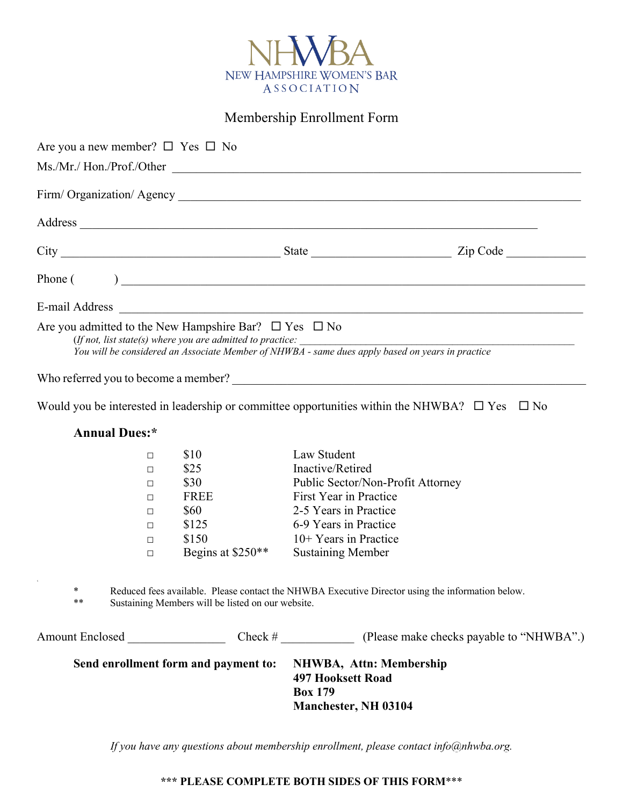

Membership Enrollment Form

|                |              |                                                                                                                                                       | Are you a new member? $\square$ Yes $\square$ No                      |                          |                                                                                                                                                                |
|----------------|--------------|-------------------------------------------------------------------------------------------------------------------------------------------------------|-----------------------------------------------------------------------|--------------------------|----------------------------------------------------------------------------------------------------------------------------------------------------------------|
|                |              |                                                                                                                                                       |                                                                       |                          | Ms./Mr./ Hon./Prof./Other                                                                                                                                      |
|                |              |                                                                                                                                                       |                                                                       |                          |                                                                                                                                                                |
|                |              |                                                                                                                                                       |                                                                       |                          |                                                                                                                                                                |
|                |              |                                                                                                                                                       |                                                                       |                          |                                                                                                                                                                |
|                |              |                                                                                                                                                       |                                                                       |                          |                                                                                                                                                                |
| E-mail Address |              |                                                                                                                                                       |                                                                       |                          |                                                                                                                                                                |
|                |              |                                                                                                                                                       | Are you admitted to the New Hampshire Bar? $\square$ Yes $\square$ No |                          | (If not, list state(s) where you are admitted to practice:<br>You will be considered an Associate Member of NHWBA - same dues apply based on years in practice |
|                |              |                                                                                                                                                       |                                                                       |                          |                                                                                                                                                                |
|                |              |                                                                                                                                                       |                                                                       |                          | Would you be interested in leadership or committee opportunities within the NHWBA? $\square$ Yes $\square$ No                                                  |
|                |              | <b>Annual Dues:*</b>                                                                                                                                  |                                                                       |                          |                                                                                                                                                                |
|                |              | П                                                                                                                                                     | \$10                                                                  | Law Student              |                                                                                                                                                                |
|                |              | П                                                                                                                                                     | \$25                                                                  | Inactive/Retired         |                                                                                                                                                                |
|                |              | П                                                                                                                                                     | \$30                                                                  |                          | Public Sector/Non-Profit Attorney                                                                                                                              |
|                |              | П                                                                                                                                                     | <b>FREE</b>                                                           | First Year in Practice   |                                                                                                                                                                |
|                |              | П                                                                                                                                                     | \$60                                                                  | 2-5 Years in Practice    |                                                                                                                                                                |
|                |              | $\Box$                                                                                                                                                | \$125                                                                 | 6-9 Years in Practice    |                                                                                                                                                                |
|                |              | П                                                                                                                                                     | \$150                                                                 | $10+$ Years in Practice  |                                                                                                                                                                |
|                |              | $\Box$                                                                                                                                                | Begins at \$250**                                                     | <b>Sustaining Member</b> |                                                                                                                                                                |
|                | $\ast$<br>** | Reduced fees available. Please contact the NHWBA Executive Director using the information below.<br>Sustaining Members will be listed on our website. |                                                                       |                          |                                                                                                                                                                |
|                |              |                                                                                                                                                       |                                                                       |                          |                                                                                                                                                                |
|                |              |                                                                                                                                                       | Send enrollment form and payment to: NHWBA, Attn: Membership          |                          |                                                                                                                                                                |

**497 Hooksett Road Box 179 Manchester, NH 03104**

*If you have any questions about membership enrollment, please contact info@nhwba.org.*

## **\*\*\* PLEASE COMPLETE BOTH SIDES OF THIS FORM**\*\*\*